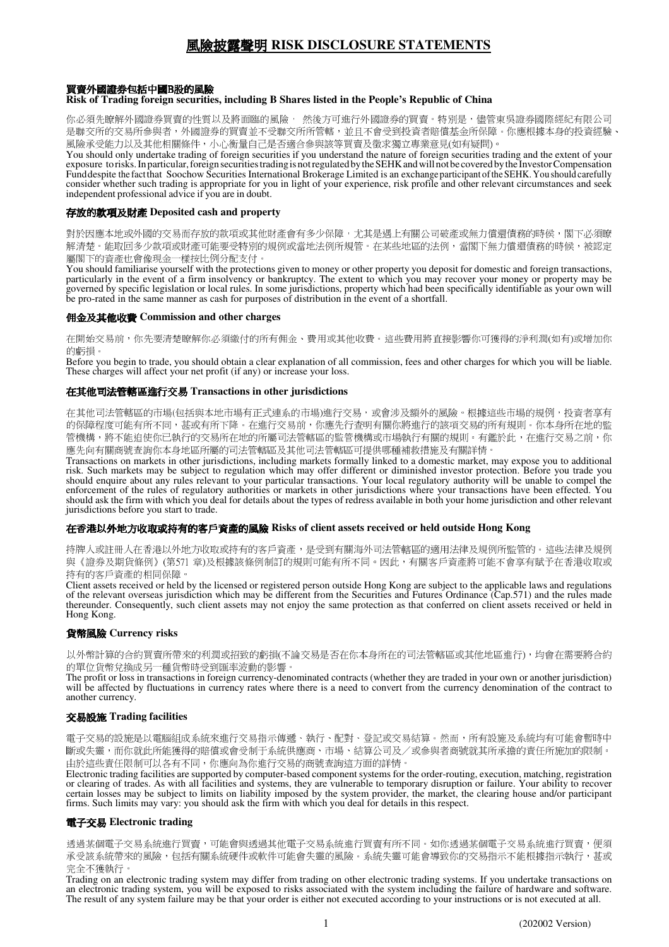# 風險披露聲明 **RISK DISCLOSURE STATEMENTS**

## 買賣外國證券包括中國B股的風險

#### **Risk of Trading foreign securities, including B Shares listed in the People's Republic of China**

你必須先瞭解外國證券買賣的性質以及將面臨的風險, 然後方可進行外國證券的買賣。特別是, 儘管東吳證券國際經紀有限公司 是聯交所的交易所參與者,外國證券的買賣並不受聯交所所管轄,並且不會受到投資者賠償基金所保障。你應根據本身的投資經驗、 風險承受能力以及其他相關條件,小心衡量自己是否適合參與該等買賣及徵求獨立專業意見(如有疑問)。

You should only undertake trading of foreign securities if you understand the nature of foreign securities trading and the extent of your exposure to risks. In particular, foreign securities trading is not regulated by the SEHK and will not be covered by the Investor Compensation Fund despite the fact that Soochow Securities International Brokerage Limited is an exchange participant of the SEHK. You should carefully consider whether such trading is appropriate for you in light of your experience, risk profile and other relevant circumstances and seek independent professional advice if you are in doubt.

#### 存放的款項及財產 **Deposited cash and property**

對於因應本地或外國的交易而存放的款項或其他財產會有多少保障,尤其是遇上有關公司破產或無力償還債務的時侯,閣下必須瞭 解清楚。能取回多少款項或財產可能要受特別的規例或當地法例所規管。在某些地區的法例,當閣下無力償還債務的時候,被認定 屬閣下的資產也會像現金一樣按比例分配支付。

You should familiarise yourself with the protections given to money or other property you deposit for domestic and foreign transactions, particularly in the event of a firm insolvency or bankruptcy. The extent to which you may recover your money or property may be governed by specific legislation or local rules. In some jurisdictions, property which had been specifically identifiable as your own will be pro-rated in the same manner as cash for purposes of distribution in the event of a shortfall.

#### 佣金及其他收費 **Commission and other charges**

在開始交易前,你先要清楚瞭解你必須繳付的所有佣金、費用或其他收費。這些費用將直接影響你可獲得的淨利潤(如有)或增加你 的虧損。

Before you begin to trade, you should obtain a clear explanation of all commission, fees and other charges for which you will be liable. These charges will affect your net profit (if any) or increase your loss.

## 在其他司法管轄區進行交易 **Transactions in other jurisdictions**

在其他司法管轄區的市場(包括與本地市場有正式連系的市場)進行交易,或會涉及額外的風險。根據這些市場的規例,投資者享有 的保障程度可能有所不同,甚或有所下降。在進行交易前,你應先行查明有關你將進行的該項交易的所有規則。你本身所在地的監 管機構,將不能迫使你已執行的交易所在地的所屬司法管轄區的監管機構或市場執行有關的規則。有鑑於此,在進行交易之前,你 應先向有關商號查詢你本身地區所屬的司法管轄區及其他司法管轄區可提供哪種補救措施及有關詳情。

Transactions on markets in other jurisdictions, including markets formally linked to a domestic market, may expose you to additional risk. Such markets may be subject to regulation which may offer different or diminished investor protection. Before you trade you should enquire about any rules relevant to your particular transactions. Your local regulatory authority will be unable to compel the enforcement of the rules of regulatory authorities or markets in other jurisdictions where your transactions have been effected. You should ask the firm with which you deal for details about the types of redress available in both your home jurisdiction and other relevant jurisdictions before you start to trade.

## 在香港以外地方收取或持有的客戶資產的風險 **Risks of client assets received or held outside Hong Kong**

持牌人或註冊人在香港以外地方收取或持有的客戶資產,是受到有關海外司法管轄區的適用法律及規例所監管的。這些法律及規例 與《證券及期貨條例》(第571 章)及根據該條例制訂的規則可能有所不同。因此,有關客戶資產將可能不會享有賦予在香港收取或 持有的客戶資產的相同保障。

Client assets received or held by the licensed or registered person outside Hong Kong are subject to the applicable laws and regulations of the relevant overseas jurisdiction which may be different from the Securities and Futures Ordinance (Cap.571) and the rules made thereunder. Consequently, such client assets may not enjoy the same protection as that conferred on client assets received or held in Hong Kong.

## 貨幣風險 **Currency risks**

以外幣計算的合約買賣所帶來的利潤或招致的虧損(不論交易是否在你本身所在的司法管轄區或其他地區進行),均會在需要將合約 的單位貨幣兌換成另一種貨幣時受到匯率波動的影響。

The profit or loss in transactions in foreign currency-denominated contracts (whether they are traded in your own or another jurisdiction) will be affected by fluctuations in currency rates where there is a need to convert from the currency denomination of the contract to another currency.

## 交易設施 **Trading facilities**

電子交易的設施是以電腦組成系統來進行交易指示傳遞、執行、配對、登記或交易結算。然而,所有設施及系統均有可能會暫時中 斷或失靈,而你就此所能獲得的賠償或會受制于系統供應商、市場、結算公司及/或參與者商號就其所承擔的責任所施加的限制。 由於這些責任限制可以各有不同,你應向為你進行交易的商號查詢這方面的詳情。

Electronic trading facilities are supported by computer-based component systems for the order-routing, execution, matching, registration or clearing of trades. As with all facilities and systems, they are vulnerable to temporary disruption or failure. Your ability to recover certain losses may be subject to limits on liability imposed by the system provider, the market, the clearing house and/or participant firms. Such limits may vary: you should ask the firm with which you deal for details in this respect.

## 電子交易 **Electronic trading**

透過某個電子交易系統進行買賣,並適會與透過其他電子交易系統進行買賣有所不同。如你透過某個電子交易系統進行買賣,便須 承受該系統帶來的風險,包括有關系統硬件或軟件可能會失靈的風險。系統失靈可能會導致你的交易指示不能根據指示執行,甚或 完全不獲執行。

Trading on an electronic trading system may differ from trading on other electronic trading systems. If you undertake transactions on an electronic trading system, you will be exposed to risks associated with the system including the failure of hardware and software. The result of any system failure may be that your order is either not executed according to your instructions or is not executed at all.